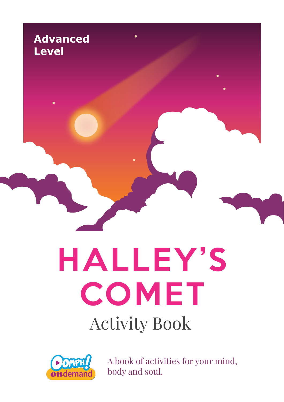

# HALLEY'S COMET Activity Book



A book of activities for your mind, body and soul.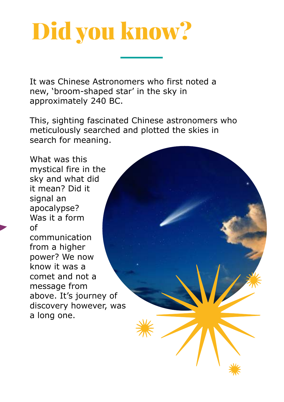## Did you know?

It was Chinese Astronomers who first noted a new, 'broom-shaped star' in the sky in approximately 240 BC.

This, sighting fascinated Chinese astronomers who meticulously searched and plotted the skies in search for meaning.

What was this mystical fire in the sky and what did it mean? Did it signal an apocalypse? Was it a form of communication from a higher power? We now know it was a comet and not a message from above. It's journey of discovery however, was a long one.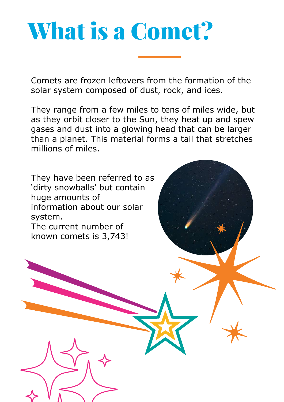### What is a Comet?

Comets are frozen leftovers from the formation of the solar system composed of dust, rock, and ices.

They range from a few miles to tens of miles wide, but as they orbit closer to the Sun, they heat up and spew gases and dust into a glowing head that can be larger than a planet. This material forms a tail that stretches millions of miles.

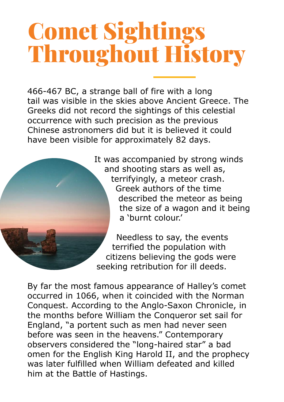### Comet Sightings Throughout History

466-467 BC, a strange ball of fire with a long tail was visible in the skies above Ancient Greece. The Greeks did not record the sightings of this celestial occurrence with such precision as the previous Chinese astronomers did but it is believed it could have been visible for approximately 82 days.



It was accompanied by strong winds and shooting stars as well as, terrifyingly, a meteor crash. Greek authors of the time described the meteor as being the size of a wagon and it being a 'burnt colour.'

Needless to say, the events terrified the population with citizens believing the gods were seeking retribution for ill deeds.

By far the most famous appearance of Halley's comet occurred in 1066, when it coincided with the Norman Conquest. According to the Anglo-Saxon Chronicle, in the months before William the Conqueror set sail for England, "a portent such as men had never seen before was seen in the heavens." Contemporary observers considered the "long-haired star" a bad omen for the English King Harold II, and the prophecy was later fulfilled when William defeated and killed him at the Battle of Hastings.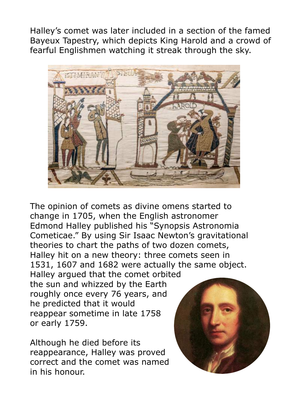Halley's comet was later included in a section of the famed Bayeux Tapestry, which depicts King Harold and a crowd of fearful Englishmen watching it streak through the sky.



The opinion of comets as divine omens started to change in 1705, when the English astronomer Edmond Halley published his "Synopsis Astronomia Cometicae." By using Sir Isaac Newton's gravitational theories to chart the paths of two dozen comets, Halley hit on a new theory: three comets seen in 1531, 1607 and 1682 were actually the same object.

Halley argued that the comet orbited the sun and whizzed by the Earth roughly once every 76 years, and he predicted that it would reappear sometime in late 1758 or early 1759.

Although he died before its reappearance, Halley was proved correct and the comet was named in his honour.

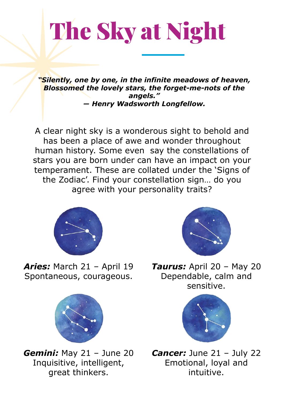## The Sky at Night

*"Silently, one by one, in the infinite meadows of heaven, Blossomed the lovely stars, the forget-me-nots of the angels." ― Henry Wadsworth Longfellow.*

A clear night sky is a wonderous sight to behold and has been a place of awe and wonder throughout human history. Some even say the constellations of stars you are born under can have an impact on your temperament. These are collated under the 'Signs of the Zodiac'. Find your constellation sign… do you agree with your personality traits?



*Aries:* March 21 – April 19 Spontaneous, courageous.



*Gemini:* May 21 – June 20 Inquisitive, intelligent, great thinkers.



*Taurus:* April 20 – May 20 Dependable, calm and sensitive.



*Cancer: June 21 - July 22* Emotional, loyal and intuitive.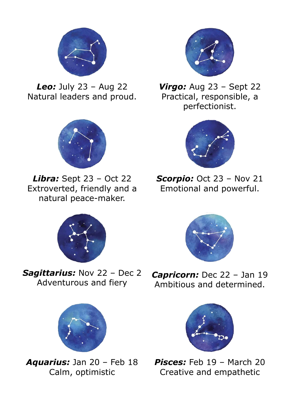

*Leo:* July 23 – Aug 22 Natural leaders and proud.



*Libra:* Sept 23 – Oct 22 Extroverted, friendly and a natural peace-maker.



*Sagittarius:* Nov 22 – Dec 2 Adventurous and fiery



*Aquarius:* Jan 20 – Feb 18 Calm, optimistic



*Virgo:* Aug 23 – Sept 22 Practical, responsible, a perfectionist.



**Scorpio:** Oct 23 - Nov 21 Emotional and powerful.



*Capricorn:* Dec 22 – Jan 19 Ambitious and determined.



*Pisces:* Feb 19 – March 20 Creative and empathetic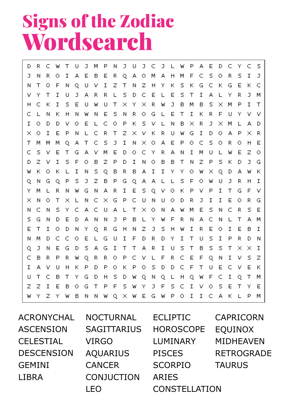#### Signs of the Zodiac Wordsearch

С J P J Ü J P А E D С Y С S D R W T U М N J C L W R I Ā E E R Q A М A F C S Ō R S I J N Ō B  $\circ$  $H$ М J I T E C F U Z Z s G C G К Ν т 0 Ν Q ν Ν H Υ к к к Τ I U J А R R L S C E s Т I А R J ν Υ D Ε L Υ м L × C К Ι s Е Т R W J в М в s М P Ι т н υ W U Υ × × E S R O E  $\top$ I К R F Ü Υ ν C L Ν к H Ν W Ν Ν G L ν T O D Đ O E C O P К S L N B  $\times$ R J × М L А D ν L ν  $\circ$ I P C R T Z К R G I D O Ā P R  $\times$ Ε Ν × ν U W  $\times$ L S C T М М М Q А Т C J Ι Ν × О А Ε P ο s Ō R  $\circ$ Н Ε C s Ε Τ М Е D  $\circ$ C R А I Ε z ν G А ν Υ Ν М U L W О z I S P P S D ν F О В z D I N О В В Т Ν z к D J G W к  $\circ$ К L I N s Q В R B А I I Υ Υ о W × Q D А W К P S J Z P G S J R I Q Ν G Q B Q А А L F O U L W н М R G R I E s  $\circ$ P P I Τ F Υ L Ν W Ν А Q ν к ν G ν × Ν O т × Ν C × G Р C U N υ  $\circ$ D R J Ι I Ε  $\circ$ R G L S S C А C Τ Е C R E C Ν Υ U А L Ν А М Ν s Ν × O W P C G E B F R А Τ М s Ν D D А Ν Ν J L Υ W Ν Ν L А E Т I  $\circ$ D Ν Υ Q R G H Ν Z J s  $H$ Ι R E O I Ε B I W C C Ε G I F D R I T s I P R N М D O L U D Υ U D N s S J Ε G s А G I T Τ R I U Τ В s Τ  $\times$  $\times$ I Q Ν D А C в R Ρ R Q R R О P C ν F R C Е F Q Ν Ι ν s z W L P C Ι D P Ρ O s D D F Τ E C E к А ν υ H к о к υ ν U т C в Τ Υ G D Η s D W Q N Q L Н Q W F C Ι Q т М Z I F s J F S C I s E z Ε в О G Т P Υ ν О Τ Ε W Υ Υ Z B Q E G P O I I C А К P М W Υ W Ν Ν W × W W L

| <b>ACRONYCHAL</b> | <b>NOCTURNAL</b>   | <b>ECLIPTIC</b>      | <b>CAPRICORN</b>  |
|-------------------|--------------------|----------------------|-------------------|
| <b>ASCENSION</b>  | <b>SAGITTARIUS</b> | <b>HOROSCOPE</b>     | <b>EQUINOX</b>    |
| <b>CELESTIAL</b>  | <b>VIRGO</b>       | LUMINARY             | <b>MIDHEAVEN</b>  |
| <b>DESCENSION</b> | <b>AQUARIUS</b>    | <b>PISCES</b>        | <b>RETROGRADE</b> |
| <b>GEMINI</b>     | <b>CANCER</b>      | <b>SCORPIO</b>       | <b>TAURUS</b>     |
| <b>LIBRA</b>      | CONJUCTION         | <b>ARIES</b>         |                   |
|                   |                    | <b>CONSTELLATION</b> |                   |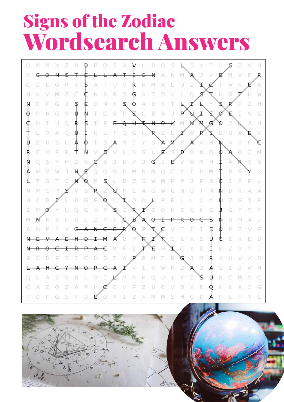#### Signs of the Zodiac Wordsearch Answers

R M M 2 G Φ E Ō Н Ö Σ M S G M B R ६ N M N D h R Е \$ E Φ ¢ D E E Þ M J M D ς ā Н s G D ₽